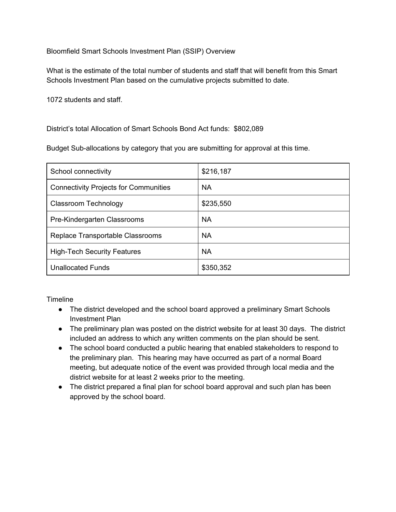Bloomfield Smart Schools Investment Plan (SSIP) Overview

What is the estimate of the total number of students and staff that will benefit from this Smart Schools Investment Plan based on the cumulative projects submitted to date.

1072 students and staff.

District's total Allocation of Smart Schools Bond Act funds: \$802,089

Budget Sub-allocations by category that you are submitting for approval at this time.

| School connectivity                          | \$216,187 |
|----------------------------------------------|-----------|
| <b>Connectivity Projects for Communities</b> | <b>NA</b> |
| Classroom Technology                         | \$235,550 |
| Pre-Kindergarten Classrooms                  | <b>NA</b> |
| Replace Transportable Classrooms             | <b>NA</b> |
| <b>High-Tech Security Features</b>           | <b>NA</b> |
| <b>Unallocated Funds</b>                     | \$350,352 |

**Timeline** 

- The district developed and the school board approved a preliminary Smart Schools Investment Plan
- The preliminary plan was posted on the district website for at least 30 days. The district included an address to which any written comments on the plan should be sent.
- The school board conducted a public hearing that enabled stakeholders to respond to the preliminary plan. This hearing may have occurred as part of a normal Board meeting, but adequate notice of the event was provided through local media and the district website for at least 2 weeks prior to the meeting.
- The district prepared a final plan for school board approval and such plan has been approved by the school board.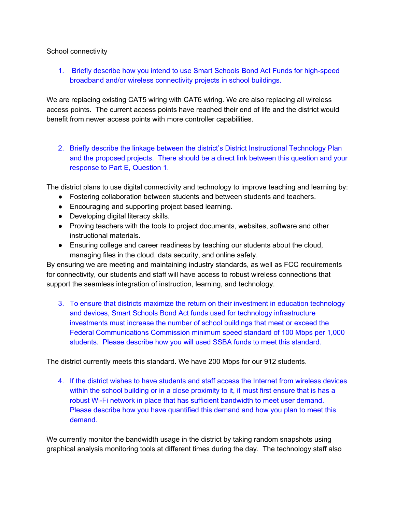## School connectivity

1. Briefly describe how you intend to use Smart Schools Bond Act Funds for high-speed broadband and/or wireless connectivity projects in school buildings.

We are replacing existing CAT5 wiring with CAT6 wiring. We are also replacing all wireless access points. The current access points have reached their end of life and the district would benefit from newer access points with more controller capabilities.

2. Briefly describe the linkage between the district's District Instructional Technology Plan and the proposed projects. There should be a direct link between this question and your response to Part E, Question 1.

The district plans to use digital connectivity and technology to improve teaching and learning by:

- Fostering collaboration between students and between students and teachers.
- Encouraging and supporting project based learning.
- Developing digital literacy skills.
- Proving teachers with the tools to project documents, websites, software and other instructional materials.
- Ensuring college and career readiness by teaching our students about the cloud, managing files in the cloud, data security, and online safety.

By ensuring we are meeting and maintaining industry standards, as well as FCC requirements for connectivity, our students and staff will have access to robust wireless connections that support the seamless integration of instruction, learning, and technology.

3. To ensure that districts maximize the return on their investment in education technology and devices, Smart Schools Bond Act funds used for technology infrastructure investments must increase the number of school buildings that meet or exceed the Federal Communications Commission minimum speed standard of 100 Mbps per 1,000 students. Please describe how you will used SSBA funds to meet this standard.

The district currently meets this standard. We have 200 Mbps for our 912 students.

4. If the district wishes to have students and staff access the Internet from wireless devices within the school building or in a close proximity to it, it must first ensure that is has a robust Wi-Fi network in place that has sufficient bandwidth to meet user demand. Please describe how you have quantified this demand and how you plan to meet this demand.

We currently monitor the bandwidth usage in the district by taking random snapshots using graphical analysis monitoring tools at different times during the day. The technology staff also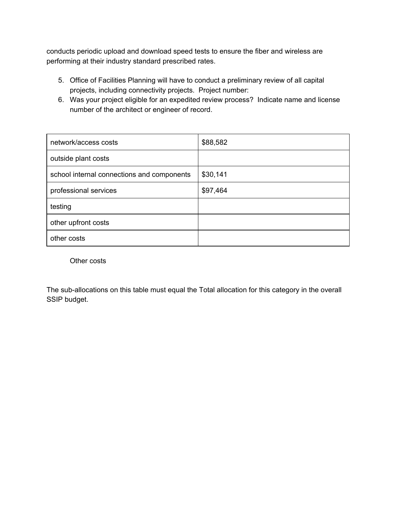conducts periodic upload and download speed tests to ensure the fiber and wireless are performing at their industry standard prescribed rates.

- 5. Office of Facilities Planning will have to conduct a preliminary review of all capital projects, including connectivity projects. Project number:
- 6. Was your project eligible for an expedited review process? Indicate name and license number of the architect or engineer of record.

| network/access costs                       | \$88,582 |
|--------------------------------------------|----------|
| outside plant costs                        |          |
| school internal connections and components | \$30,141 |
| professional services                      | \$97,464 |
| testing                                    |          |
| other upfront costs                        |          |
| other costs                                |          |

## Other costs

The sub-allocations on this table must equal the Total allocation for this category in the overall SSIP budget.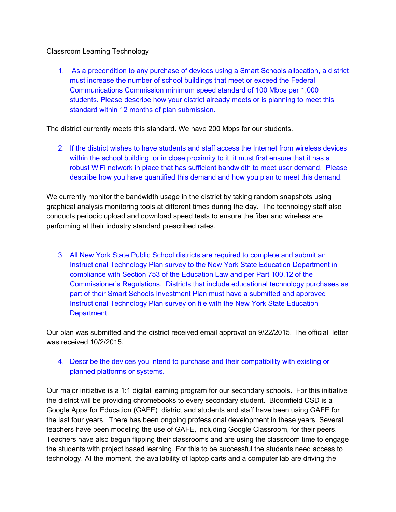## Classroom Learning Technology

1. As a precondition to any purchase of devices using a Smart Schools allocation, a district must increase the number of school buildings that meet or exceed the Federal Communications Commission minimum speed standard of 100 Mbps per 1,000 students. Please describe how your district already meets or is planning to meet this standard within 12 months of plan submission.

The district currently meets this standard. We have 200 Mbps for our students.

2. If the district wishes to have students and staff access the Internet from wireless devices within the school building, or in close proximity to it, it must first ensure that it has a robust WiFi network in place that has sufficient bandwidth to meet user demand. Please describe how you have quantified this demand and how you plan to meet this demand.

We currently monitor the bandwidth usage in the district by taking random snapshots using graphical analysis monitoring tools at different times during the day. The technology staff also conducts periodic upload and download speed tests to ensure the fiber and wireless are performing at their industry standard prescribed rates.

3. All New York State Public School districts are required to complete and submit an Instructional Technology Plan survey to the New York State Education Department in compliance with Section 753 of the Education Law and per Part 100.12 of the Commissioner's Regulations. Districts that include educational technology purchases as part of their Smart Schools Investment Plan must have a submitted and approved Instructional Technology Plan survey on file with the New York State Education Department.

Our plan was submitted and the district received email approval on 9/22/2015. The official letter was received 10/2/2015.

4. Describe the devices you intend to purchase and their compatibility with existing or planned platforms or systems.

Our major initiative is a 1:1 digital learning program for our secondary schools. For this initiative the district will be providing chromebooks to every secondary student. Bloomfield CSD is a Google Apps for Education (GAFE) district and students and staff have been using GAFE for the last four years. There has been ongoing professional development in these years. Several teachers have been modeling the use of GAFE, including Google Classroom, for their peers. Teachers have also begun flipping their classrooms and are using the classroom time to engage the students with project based learning. For this to be successful the students need access to technology. At the moment, the availability of laptop carts and a computer lab are driving the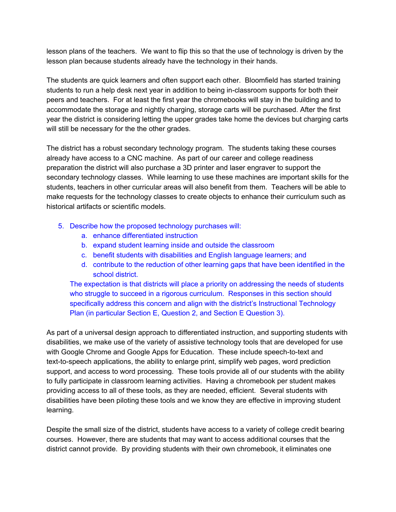lesson plans of the teachers. We want to flip this so that the use of technology is driven by the lesson plan because students already have the technology in their hands.

The students are quick learners and often support each other. Bloomfield has started training students to run a help desk next year in addition to being in-classroom supports for both their peers and teachers. For at least the first year the chromebooks will stay in the building and to accommodate the storage and nightly charging, storage carts will be purchased. After the first year the district is considering letting the upper grades take home the devices but charging carts will still be necessary for the the other grades.

The district has a robust secondary technology program. The students taking these courses already have access to a CNC machine. As part of our career and college readiness preparation the district will also purchase a 3D printer and laser engraver to support the secondary technology classes. While learning to use these machines are important skills for the students, teachers in other curricular areas will also benefit from them. Teachers will be able to make requests for the technology classes to create objects to enhance their curriculum such as historical artifacts or scientific models.

- 5. Describe how the proposed technology purchases will:
	- a. enhance differentiated instruction
	- b. expand student learning inside and outside the classroom
	- c. benefit students with disabilities and English language learners; and
	- d. contribute to the reduction of other learning gaps that have been identified in the school district.

The expectation is that districts will place a priority on addressing the needs of students who struggle to succeed in a rigorous curriculum. Responses in this section should specifically address this concern and align with the district's Instructional Technology Plan (in particular Section E, Question 2, and Section E Question 3).

As part of a universal design approach to differentiated instruction, and supporting students with disabilities, we make use of the variety of assistive technology tools that are developed for use with Google Chrome and Google Apps for Education. These include speech-to-text and text-to-speech applications, the ability to enlarge print, simplify web pages, word prediction support, and access to word processing. These tools provide all of our students with the ability to fully participate in classroom learning activities. Having a chromebook per student makes providing access to all of these tools, as they are needed, efficient. Several students with disabilities have been piloting these tools and we know they are effective in improving student learning.

Despite the small size of the district, students have access to a variety of college credit bearing courses. However, there are students that may want to access additional courses that the district cannot provide. By providing students with their own chromebook, it eliminates one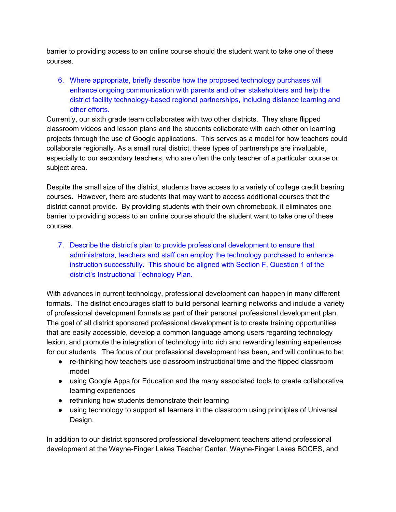barrier to providing access to an online course should the student want to take one of these courses.

6. Where appropriate, briefly describe how the proposed technology purchases will enhance ongoing communication with parents and other stakeholders and help the district facility technology-based regional partnerships, including distance learning and other efforts.

Currently, our sixth grade team collaborates with two other districts. They share flipped classroom videos and lesson plans and the students collaborate with each other on learning projects through the use of Google applications. This serves as a model for how teachers could collaborate regionally. As a small rural district, these types of partnerships are invaluable, especially to our secondary teachers, who are often the only teacher of a particular course or subject area.

Despite the small size of the district, students have access to a variety of college credit bearing courses. However, there are students that may want to access additional courses that the district cannot provide. By providing students with their own chromebook, it eliminates one barrier to providing access to an online course should the student want to take one of these courses.

7. Describe the district's plan to provide professional development to ensure that administrators, teachers and staff can employ the technology purchased to enhance instruction successfully. This should be aligned with Section F, Question 1 of the district's Instructional Technology Plan.

With advances in current technology, professional development can happen in many different formats. The district encourages staff to build personal learning networks and include a variety of professional development formats as part of their personal professional development plan. The goal of all district sponsored professional development is to create training opportunities that are easily accessible, develop a common language among users regarding technology lexion, and promote the integration of technology into rich and rewarding learning experiences for our students. The focus of our professional development has been, and will continue to be:

- rethinking how teachers use classroom instructional time and the flipped classroom model
- using Google Apps for Education and the many associated tools to create collaborative learning experiences
- rethinking how students demonstrate their learning
- using technology to support all learners in the classroom using principles of Universal Design.

In addition to our district sponsored professional development teachers attend professional development at the Wayne-Finger Lakes Teacher Center, Wayne-Finger Lakes BOCES, and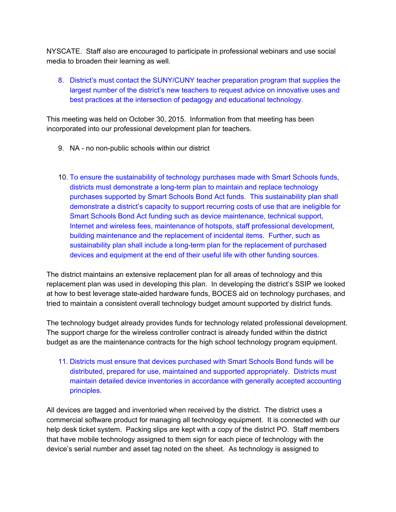NYSCATE. Staff also are encouraged to participate in professional webinars and use social media to broaden their learning as well.

8. District's must contact the SUNY/CUNY teacher preparation program that supplies the largest number of the district's new teachers to request advice on innovative uses and best practices at the intersection of pedagogy and educational technology.

This meeting was held on October 30, 2015. Information from that meeting has been incorporated into our professional development plan for teachers.

- 9. NA no non-public schools within our district
- 10. To ensure the sustainability of technology purchases made with Smart Schools funds, districts must demonstrate a long-term plan to maintain and replace technology purchases supported by Smart Schools Bond Act funds. This sustainability plan shall demonstrate a district's capacity to support recurring costs of use that are ineligible for Smart Schools Bond Act funding such as device maintenance, technical support, Internet and wireless fees, maintenance of hotspots, staff professional development, building maintenance and the replacement of incidental items. Further, such as sustainability plan shall include a long-term plan for the replacement of purchased devices and equipment at the end of their useful life with other funding sources.

The district maintains an extensive replacement plan for all areas of technology and this replacement plan was used in developing this plan. In developing the district's SSIP we looked at how to best leverage state-aided hardware funds, BOCES aid on technology purchases, and tried to maintain a consistent overall technology budget amount supported by district funds.

The technology budget already provides funds for technology related professional development. The support charge for the wireless controller contract is already funded within the district budget as are the maintenance contracts for the high school technology program equipment.

11. Districts must ensure that devices purchased with Smart Schools Bond funds will be distributed, prepared for use, maintained and supported appropriately. Districts must maintain detailed device inventories in accordance with generally accepted accounting principles.

All devices are tagged and inventoried when received by the district. The district uses a commercial software product for managing all technology equipment. It is connected with our help desk ticket system. Packing slips are kept with a copy of the district PO. Staff members that have mobile technology assigned to them sign for each piece of technology with the device's serial number and asset tag noted on the sheet. As technology is assigned to